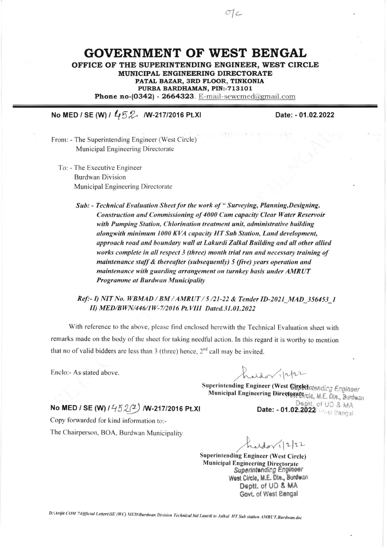## **GOVERNMENT OF WEST BENGAL**

OFFICE OF THE SUPERINTENDING ENGINEER, WEST CIRCLE MUNICIPAL ENGINEERING DIRECTORATE PATAL BAZAR, 3RD FLOOR, TINKONIA PURBA BARDHAMAN, PIN:-713101 Phone no-(0342) - 2664323. E-mail-sewcmed@gmail.com

## No MED / SE (W) / 452 M-217/2016 Pt.XI

Date: - 01.02.2022

From: - The Superintending Engineer (West Circle) Municipal Engineering Directorate

To: - The Executive Engineer **Burdwan Division** Municipal Engineering Directorate

> Sub: - Technical Evaluation Sheet for the work of "Surveying, Planning, Designing, Construction and Commissioning of 4000 Cum capacity Clear Water Reservoir with Pumping Station, Chlorination treatment unit, administrative building alongwith minimum 1000 KVA capacity HT Sub Station, Land development, approach road and boundary wall at Lakurdi Zalkal Building and all other allied works complete in all respect 3 (three) month trial run and necessary training of maintenance staff & thereafter (subsequently) 5 (five) years operation and maintenance with guarding arrangement on turnkey basis under AMRUT Programme at Burdwan Municipality

## Ref :- I) NIT No. WBMAD / BM / AMRUT / 5/21-22 & Tender ID-2021 MAD 356453 1 II) MED/BWN/446/1W-7/2016 Pt. VIII Dated.31.01.2022

With reference to the above, please find enclosed herewith the Technical Evaluation sheet with remarks made on the body of the sheet for taking needful action. In this regard it is worthy to mention that no of valid bidders are less than 3 (three) hence,  $2<sup>nd</sup>$  call may be invited.

Enclo:- As stated above.

 $udor/1222$ 

Superintending Engineer (West Sirghthatending Engineer Municipal Engineering Directoratgrcle, M.E. Dte., Burdwan Deptt. of UD & MA Date: - 01.02.2022

No MED / SE (W)  $1452(2)$  /W-217/2016 Pt.XI

Copy forwarded for kind information to:-

The Chairperson, BOA, Burdwan Municipality

hardon 12/22

**Superintending Engineer (West Circle) Municipal Engineering Directorate Superintending Engineer** West Circle, M.E. Dte., Burdwan Deptt. of UD & MA Govt. of West Bengal